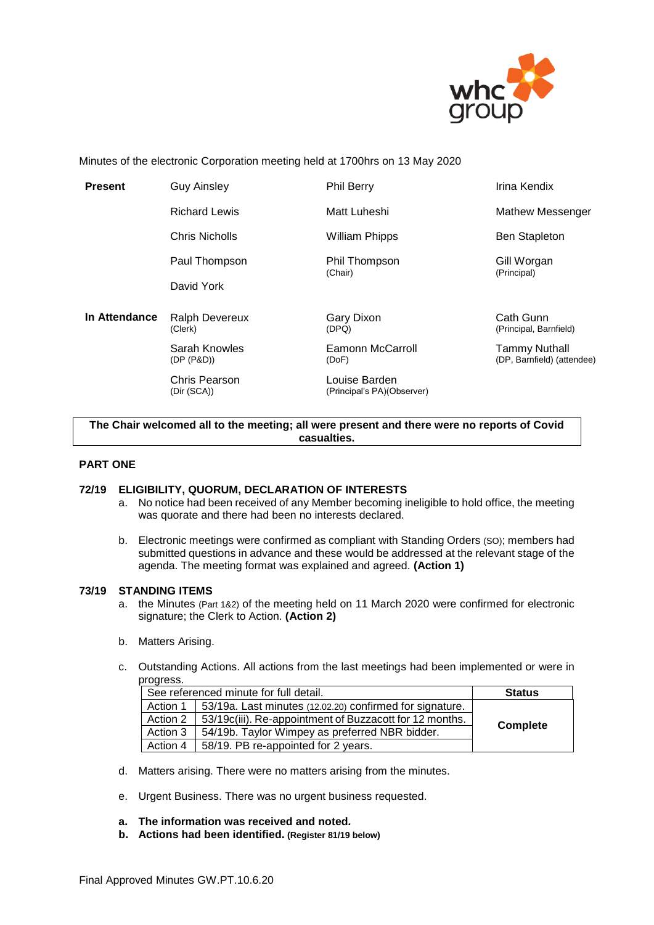

Minutes of the electronic Corporation meeting held at 1700hrs on 13 May 2020

| <b>Present</b> | <b>Guy Ainsley</b>           | <b>Phil Berry</b>                           | Irina Kendix                                       |
|----------------|------------------------------|---------------------------------------------|----------------------------------------------------|
|                | <b>Richard Lewis</b>         | Matt Luheshi                                | <b>Mathew Messenger</b>                            |
|                | Chris Nicholls               | <b>William Phipps</b>                       | <b>Ben Stapleton</b>                               |
|                | Paul Thompson                | Phil Thompson<br>(Chair)                    | Gill Worgan<br>(Principal)                         |
|                | David York                   |                                             |                                                    |
| In Attendance  | Ralph Devereux<br>(Clerk)    | Gary Dixon<br>(DPQ)                         | Cath Gunn<br>(Principal, Barnfield)                |
|                | Sarah Knowles<br>(DP (P&D))  | <b>Eamonn McCarroll</b><br>(DoF)            | <b>Tammy Nuthall</b><br>(DP, Barnfield) (attendee) |
|                | Chris Pearson<br>(Dir (SCA)) | Louise Barden<br>(Principal's PA)(Observer) |                                                    |
|                |                              |                                             |                                                    |

**The Chair welcomed all to the meeting; all were present and there were no reports of Covid casualties.**

#### **PART ONE**

#### **72/19 ELIGIBILITY, QUORUM, DECLARATION OF INTERESTS**

- a. No notice had been received of any Member becoming ineligible to hold office, the meeting was quorate and there had been no interests declared.
- b. Electronic meetings were confirmed as compliant with Standing Orders (SO); members had submitted questions in advance and these would be addressed at the relevant stage of the agenda. The meeting format was explained and agreed. **(Action 1)**

#### **73/19 STANDING ITEMS**

- a. the Minutes (Part 1&2) of the meeting held on 11 March 2020 were confirmed for electronic signature; the Clerk to Action. **(Action 2)**
- b. Matters Arising.
- c. Outstanding Actions. All actions from the last meetings had been implemented or were in progress.

| See referenced minute for full detail. |                                                          | <b>Status</b> |
|----------------------------------------|----------------------------------------------------------|---------------|
| Action 1                               | 53/19a. Last minutes (12.02.20) confirmed for signature. |               |
| Action 2                               | 53/19c(iii). Re-appointment of Buzzacott for 12 months.  | Complete      |
| Action 3                               | 54/19b. Taylor Wimpey as preferred NBR bidder.           |               |
| Action 4                               | 58/19. PB re-appointed for 2 years.                      |               |

- d. Matters arising. There were no matters arising from the minutes.
- e. Urgent Business. There was no urgent business requested.
- **a. The information was received and noted***.*
- **b. Actions had been identified. (Register 81/19 below)**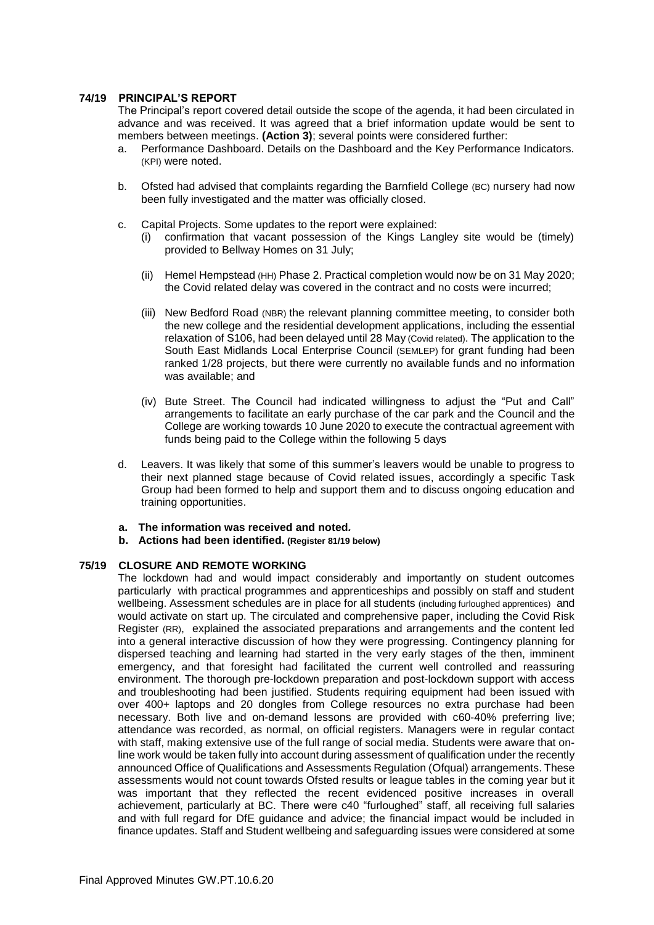#### **74/19 PRINCIPAL'S REPORT**

The Principal's report covered detail outside the scope of the agenda, it had been circulated in advance and was received. It was agreed that a brief information update would be sent to members between meetings. **(Action 3)**; several points were considered further:

- a. Performance Dashboard. Details on the Dashboard and the Key Performance Indicators. (KPI) were noted.
- b. Ofsted had advised that complaints regarding the Barnfield College (BC) nursery had now been fully investigated and the matter was officially closed.
- c. Capital Projects. Some updates to the report were explained:
	- (i) confirmation that vacant possession of the Kings Langley site would be (timely) provided to Bellway Homes on 31 July;
	- (ii) Hemel Hempstead (HH) Phase 2. Practical completion would now be on 31 May 2020; the Covid related delay was covered in the contract and no costs were incurred;
	- (iii) New Bedford Road (NBR) the relevant planning committee meeting, to consider both the new college and the residential development applications, including the essential relaxation of S106, had been delayed until 28 May (Covid related). The application to the South East Midlands Local Enterprise Council (SEMLEP) for grant funding had been ranked 1/28 projects, but there were currently no available funds and no information was available; and
	- (iv) Bute Street. The Council had indicated willingness to adjust the "Put and Call" arrangements to facilitate an early purchase of the car park and the Council and the College are working towards 10 June 2020 to execute the contractual agreement with funds being paid to the College within the following 5 days
- d. Leavers. It was likely that some of this summer's leavers would be unable to progress to their next planned stage because of Covid related issues, accordingly a specific Task Group had been formed to help and support them and to discuss ongoing education and training opportunities.
- **a. The information was received and noted***.*
- **b. Actions had been identified. (Register 81/19 below)**

#### **75/19 CLOSURE AND REMOTE WORKING**

The lockdown had and would impact considerably and importantly on student outcomes particularly with practical programmes and apprenticeships and possibly on staff and student wellbeing. Assessment schedules are in place for all students (including furloughed apprentices) and would activate on start up. The circulated and comprehensive paper, including the Covid Risk Register (RR), explained the associated preparations and arrangements and the content led into a general interactive discussion of how they were progressing. Contingency planning for dispersed teaching and learning had started in the very early stages of the then, imminent emergency, and that foresight had facilitated the current well controlled and reassuring environment. The thorough pre-lockdown preparation and post-lockdown support with access and troubleshooting had been justified. Students requiring equipment had been issued with over 400+ laptops and 20 dongles from College resources no extra purchase had been necessary. Both live and on-demand lessons are provided with c60-40% preferring live; attendance was recorded, as normal, on official registers. Managers were in regular contact with staff, making extensive use of the full range of social media. Students were aware that online work would be taken fully into account during assessment of qualification under the recently announced Office of Qualifications and Assessments Regulation (Ofqual) arrangements. These assessments would not count towards Ofsted results or league tables in the coming year but it was important that they reflected the recent evidenced positive increases in overall achievement, particularly at BC. There were c40 "furloughed" staff, all receiving full salaries and with full regard for DfE guidance and advice; the financial impact would be included in finance updates. Staff and Student wellbeing and safeguarding issues were considered at some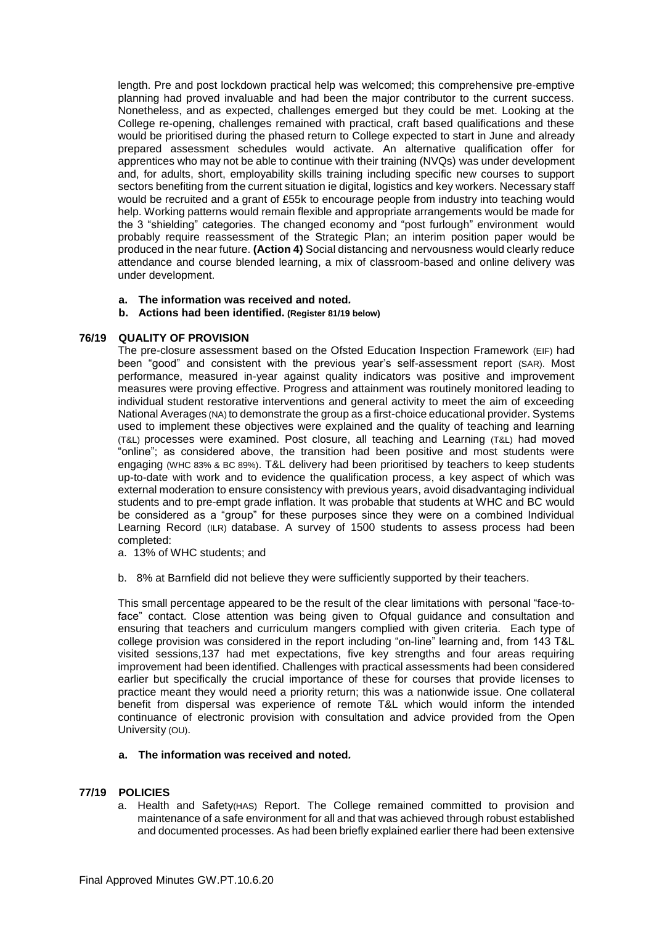length. Pre and post lockdown practical help was welcomed; this comprehensive pre-emptive planning had proved invaluable and had been the major contributor to the current success. Nonetheless, and as expected, challenges emerged but they could be met. Looking at the College re-opening, challenges remained with practical, craft based qualifications and these would be prioritised during the phased return to College expected to start in June and already prepared assessment schedules would activate. An alternative qualification offer for apprentices who may not be able to continue with their training (NVQs) was under development and, for adults, short, employability skills training including specific new courses to support sectors benefiting from the current situation ie digital, logistics and key workers. Necessary staff would be recruited and a grant of £55k to encourage people from industry into teaching would help. Working patterns would remain flexible and appropriate arrangements would be made for the 3 "shielding" categories. The changed economy and "post furlough" environment would probably require reassessment of the Strategic Plan; an interim position paper would be produced in the near future. **(Action 4)** Social distancing and nervousness would clearly reduce attendance and course blended learning, a mix of classroom-based and online delivery was under development.

- **a. The information was received and noted***.*
- **b. Actions had been identified. (Register 81/19 below)**

#### **76/19 QUALITY OF PROVISION**

The pre-closure assessment based on the Ofsted Education Inspection Framework (EIF) had been "good" and consistent with the previous year's self-assessment report (SAR). Most performance, measured in-year against quality indicators was positive and improvement measures were proving effective. Progress and attainment was routinely monitored leading to individual student restorative interventions and general activity to meet the aim of exceeding National Averages (NA) to demonstrate the group as a first-choice educational provider. Systems used to implement these objectives were explained and the quality of teaching and learning (T&L) processes were examined. Post closure, all teaching and Learning (T&L) had moved "online"; as considered above, the transition had been positive and most students were engaging (WHC 83% & BC 89%). T&L delivery had been prioritised by teachers to keep students up-to-date with work and to evidence the qualification process, a key aspect of which was external moderation to ensure consistency with previous years, avoid disadvantaging individual students and to pre-empt grade inflation. It was probable that students at WHC and BC would be considered as a "group" for these purposes since they were on a combined Individual Learning Record (ILR) database. A survey of 1500 students to assess process had been completed:

- a. 13% of WHC students; and
- b. 8% at Barnfield did not believe they were sufficiently supported by their teachers.

This small percentage appeared to be the result of the clear limitations with personal "face-toface" contact. Close attention was being given to Ofqual guidance and consultation and ensuring that teachers and curriculum mangers complied with given criteria. Each type of college provision was considered in the report including "on-line" learning and, from 143 T&L visited sessions,137 had met expectations, five key strengths and four areas requiring improvement had been identified. Challenges with practical assessments had been considered earlier but specifically the crucial importance of these for courses that provide licenses to practice meant they would need a priority return; this was a nationwide issue. One collateral benefit from dispersal was experience of remote T&L which would inform the intended continuance of electronic provision with consultation and advice provided from the Open University (OU).

#### **a. The information was received and noted***.*

#### **77/19 POLICIES**

a. Health and Safety(HAS) Report. The College remained committed to provision and maintenance of a safe environment for all and that was achieved through robust established and documented processes. As had been briefly explained earlier there had been extensive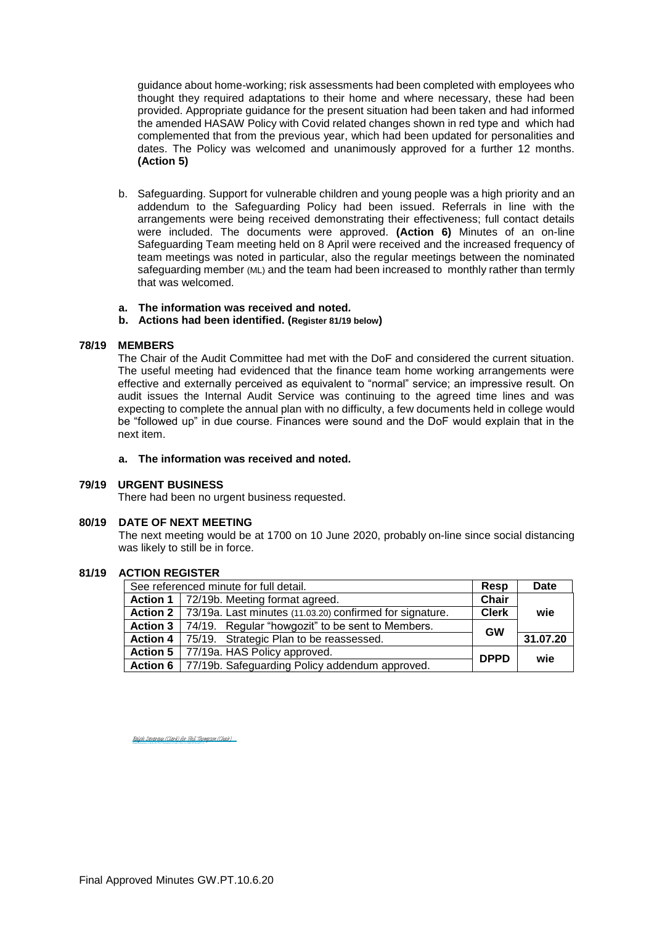guidance about home-working; risk assessments had been completed with employees who thought they required adaptations to their home and where necessary, these had been provided. Appropriate guidance for the present situation had been taken and had informed the amended HASAW Policy with Covid related changes shown in red type and which had complemented that from the previous year, which had been updated for personalities and dates. The Policy was welcomed and unanimously approved for a further 12 months. **(Action 5)**

- b. Safeguarding. Support for vulnerable children and young people was a high priority and an addendum to the Safeguarding Policy had been issued. Referrals in line with the arrangements were being received demonstrating their effectiveness; full contact details were included. The documents were approved. **(Action 6)** Minutes of an on-line Safeguarding Team meeting held on 8 April were received and the increased frequency of team meetings was noted in particular, also the regular meetings between the nominated safeguarding member (ML) and the team had been increased to monthly rather than termly that was welcomed.
- **a. The information was received and noted***.*
- **b. Actions had been identified. (Register 81/19 below)**

#### **78/19 MEMBERS**

The Chair of the Audit Committee had met with the DoF and considered the current situation. The useful meeting had evidenced that the finance team home working arrangements were effective and externally perceived as equivalent to "normal" service; an impressive result. On audit issues the Internal Audit Service was continuing to the agreed time lines and was expecting to complete the annual plan with no difficulty, a few documents held in college would be "followed up" in due course. Finances were sound and the DoF would explain that in the next item.

#### **a. The information was received and noted***.*

#### **79/19 URGENT BUSINESS**

There had been no urgent business requested.

#### **80/19 DATE OF NEXT MEETING**

The next meeting would be at 1700 on 10 June 2020, probably on-line since social distancing was likely to still be in force.

### **81/19 ACTION REGISTER**

| See referenced minute for full detail. |                                                                     | Resp         | <b>Date</b> |
|----------------------------------------|---------------------------------------------------------------------|--------------|-------------|
|                                        | Action 1   72/19b. Meeting format agreed.                           | Chair        |             |
|                                        | Action 2   73/19a. Last minutes (11.03.20) confirmed for signature. | <b>Clerk</b> | wie         |
|                                        | <b>Action 3</b>   74/19. Regular "howgozit" to be sent to Members.  | <b>GW</b>    |             |
|                                        | Action 4   75/19. Strategic Plan to be reassessed.                  |              | 31.07.20    |
|                                        | Action 5   77/19a. HAS Policy approved.                             | <b>DPPD</b>  | wie         |
|                                        | Action 6   77/19b. Safeguarding Policy addendum approved.           |              |             |

Ralph Devereux (Clerk) for Phil Thompson (Chair) (Jun 12, 2020 09:36 GMT+1) [Ralph Devereux \(Clerk\) for Phil Thompson \(Chair\)](https://eu1.documents.adobe.com/verifier?tx=CBJCHBCAABAAkKq7VHfNyjlraIElBcBltCZDTTopP9va)